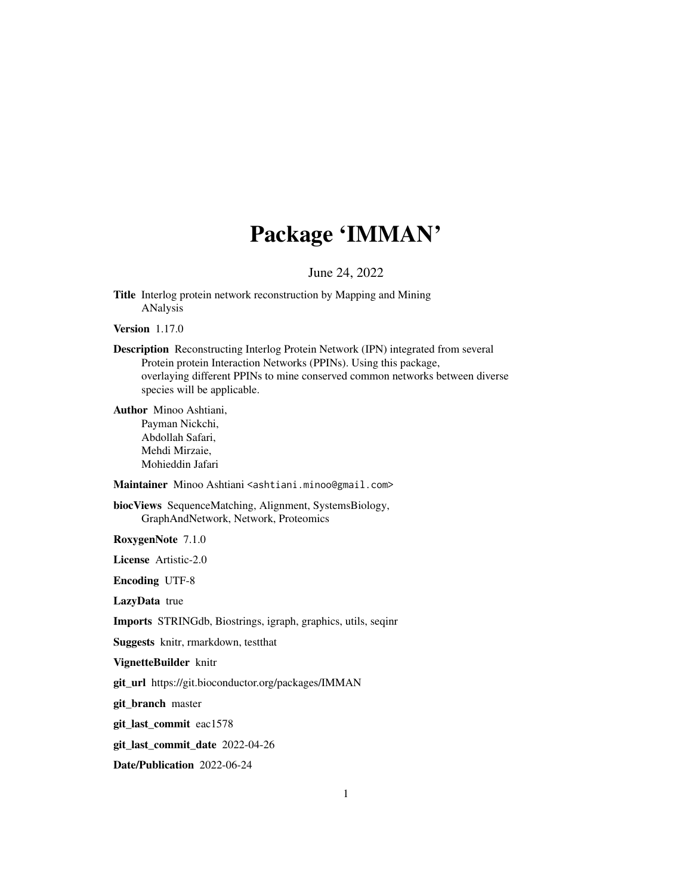# Package 'IMMAN'

#### June 24, 2022

<span id="page-0-0"></span>Title Interlog protein network reconstruction by Mapping and Mining ANalysis

Version 1.17.0

Description Reconstructing Interlog Protein Network (IPN) integrated from several Protein protein Interaction Networks (PPINs). Using this package, overlaying different PPINs to mine conserved common networks between diverse species will be applicable.

Author Minoo Ashtiani, Payman Nickchi, Abdollah Safari, Mehdi Mirzaie, Mohieddin Jafari

Maintainer Minoo Ashtiani <ashtiani.minoo@gmail.com>

biocViews SequenceMatching, Alignment, SystemsBiology, GraphAndNetwork, Network, Proteomics

RoxygenNote 7.1.0

License Artistic-2.0

Encoding UTF-8

LazyData true

Imports STRINGdb, Biostrings, igraph, graphics, utils, seqinr

Suggests knitr, rmarkdown, testthat

VignetteBuilder knitr

git\_url https://git.bioconductor.org/packages/IMMAN

git\_branch master

git\_last\_commit eac1578

git\_last\_commit\_date 2022-04-26

Date/Publication 2022-06-24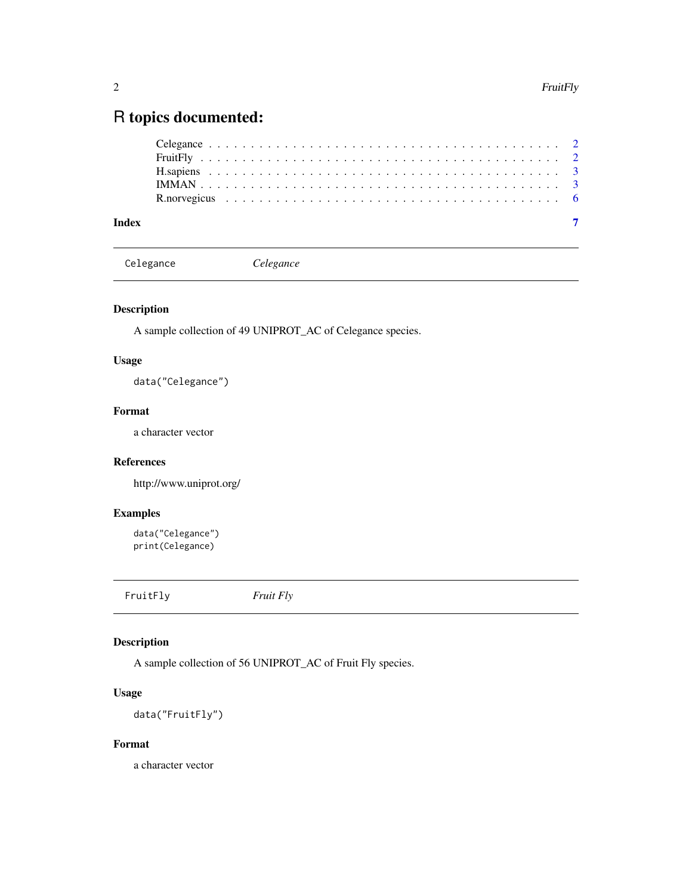## <span id="page-1-0"></span>R topics documented:

|--|

Celegance *Celegance*

#### Description

A sample collection of 49 UNIPROT\_AC of Celegance species.

#### Usage

data("Celegance")

#### Format

a character vector

#### References

http://www.uniprot.org/

#### Examples

```
data("Celegance")
print(Celegance)
```
FruitFly *Fruit Fly*

#### Description

A sample collection of 56 UNIPROT\_AC of Fruit Fly species.

#### Usage

data("FruitFly")

#### Format

a character vector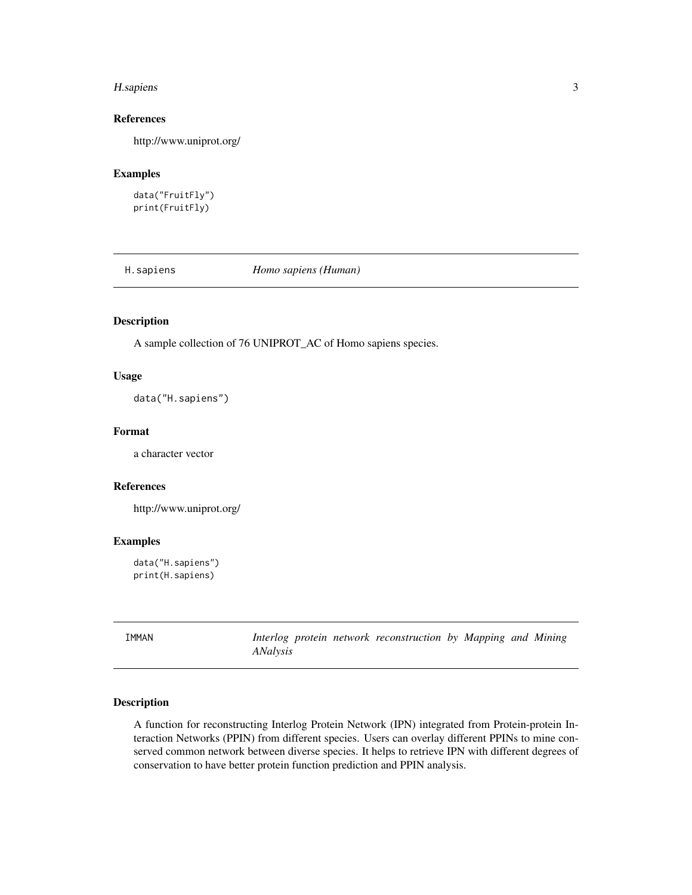#### <span id="page-2-0"></span>H.sapiens 3

#### References

http://www.uniprot.org/

#### Examples

data("FruitFly") print(FruitFly)

H.sapiens *Homo sapiens (Human)*

#### Description

A sample collection of 76 UNIPROT\_AC of Homo sapiens species.

#### Usage

data("H.sapiens")

#### Format

a character vector

#### References

http://www.uniprot.org/

#### Examples

data("H.sapiens") print(H.sapiens)

IMMAN *Interlog protein network reconstruction by Mapping and Mining ANalysis*

#### Description

A function for reconstructing Interlog Protein Network (IPN) integrated from Protein-protein Interaction Networks (PPIN) from different species. Users can overlay different PPINs to mine conserved common network between diverse species. It helps to retrieve IPN with different degrees of conservation to have better protein function prediction and PPIN analysis.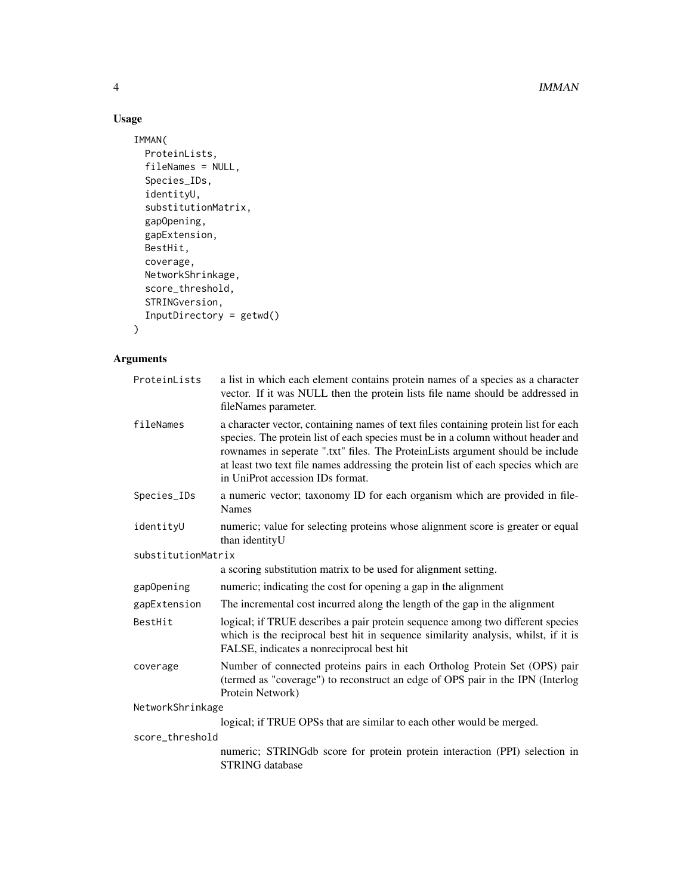4 and the contract of the contract of the contract of the contract of the contract of the contract of the contract of the contract of the contract of the contract of the contract of the contract of the contract of the cont

### Usage

```
IMMAN(
 ProteinLists,
 fileNames = NULL,
  Species_IDs,
  identityU,
  substitutionMatrix,
  gapOpening,
  gapExtension,
 BestHit,
 coverage,
 NetworkShrinkage,
 score_threshold,
 STRINGversion,
 InputDirectory = getwd()
\mathcal{L}
```
# Arguments

| ProteinLists       | a list in which each element contains protein names of a species as a character<br>vector. If it was NULL then the protein lists file name should be addressed in<br>fileNames parameter.                                                                                                                                                                                           |  |
|--------------------|-------------------------------------------------------------------------------------------------------------------------------------------------------------------------------------------------------------------------------------------------------------------------------------------------------------------------------------------------------------------------------------|--|
| fileNames          | a character vector, containing names of text files containing protein list for each<br>species. The protein list of each species must be in a column without header and<br>rownames in seperate ".txt" files. The ProteinLists argument should be include<br>at least two text file names addressing the protein list of each species which are<br>in UniProt accession IDs format. |  |
| Species_IDs        | a numeric vector; taxonomy ID for each organism which are provided in file-<br><b>Names</b>                                                                                                                                                                                                                                                                                         |  |
| identityU          | numeric; value for selecting proteins whose alignment score is greater or equal<br>than identity U                                                                                                                                                                                                                                                                                  |  |
| substitutionMatrix |                                                                                                                                                                                                                                                                                                                                                                                     |  |
|                    | a scoring substitution matrix to be used for alignment setting.                                                                                                                                                                                                                                                                                                                     |  |
| gapOpening         | numeric; indicating the cost for opening a gap in the alignment                                                                                                                                                                                                                                                                                                                     |  |
| gapExtension       | The incremental cost incurred along the length of the gap in the alignment                                                                                                                                                                                                                                                                                                          |  |
| BestHit            | logical; if TRUE describes a pair protein sequence among two different species<br>which is the reciprocal best hit in sequence similarity analysis, whilst, if it is<br>FALSE, indicates a nonreciprocal best hit                                                                                                                                                                   |  |
| coverage           | Number of connected proteins pairs in each Ortholog Protein Set (OPS) pair<br>(termed as "coverage") to reconstruct an edge of OPS pair in the IPN (Interlog<br>Protein Network)                                                                                                                                                                                                    |  |
| NetworkShrinkage   |                                                                                                                                                                                                                                                                                                                                                                                     |  |
|                    | logical; if TRUE OPSs that are similar to each other would be merged.                                                                                                                                                                                                                                                                                                               |  |
| score_threshold    |                                                                                                                                                                                                                                                                                                                                                                                     |  |
|                    | numeric; STRINGdb score for protein protein interaction (PPI) selection in<br><b>STRING</b> database                                                                                                                                                                                                                                                                                |  |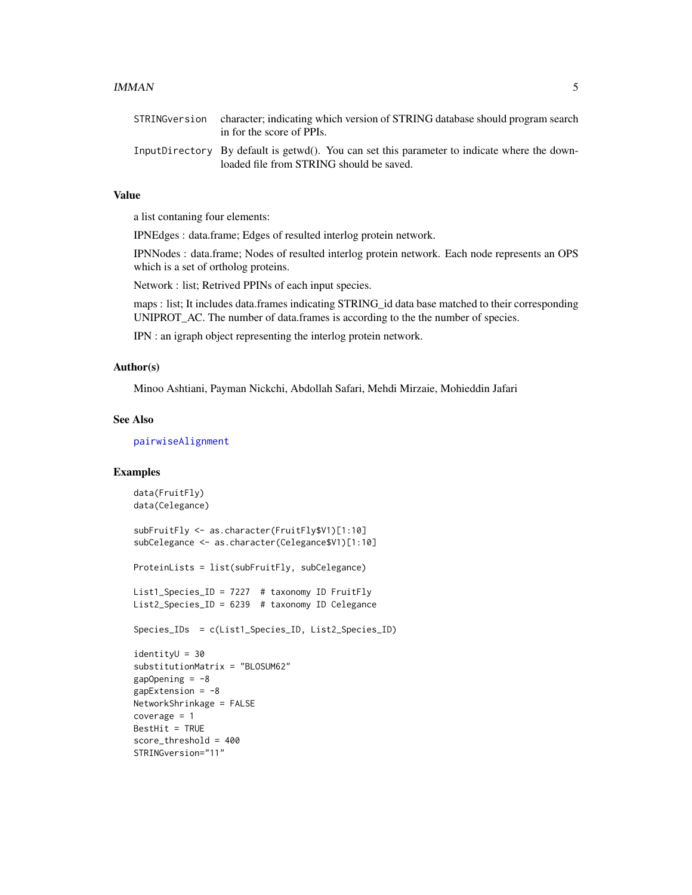#### <span id="page-4-0"></span> $IMMAN$  5

| STRINGversion | character; indicating which version of STRING database should program search<br>in for the score of PPIs.                                |
|---------------|------------------------------------------------------------------------------------------------------------------------------------------|
|               | InputDirectory By default is getwd(). You can set this parameter to indicate where the down-<br>loaded file from STRING should be saved. |

#### Value

a list contaning four elements:

IPNEdges : data.frame; Edges of resulted interlog protein network.

IPNNodes : data.frame; Nodes of resulted interlog protein network. Each node represents an OPS which is a set of ortholog proteins.

Network : list; Retrived PPINs of each input species.

maps : list; It includes data.frames indicating STRING\_id data base matched to their corresponding UNIPROT\_AC. The number of data.frames is according to the the number of species.

IPN : an igraph object representing the interlog protein network.

#### Author(s)

Minoo Ashtiani, Payman Nickchi, Abdollah Safari, Mehdi Mirzaie, Mohieddin Jafari

#### See Also

#### [pairwiseAlignment](#page-0-0)

#### Examples

```
data(FruitFly)
data(Celegance)
subFruitFly <- as.character(FruitFly$V1)[1:10]
subCelegance <- as.character(Celegance$V1)[1:10]
ProteinLists = list(subFruitFly, subCelegance)
List1_Species_ID = 7227 # taxonomy ID FruitFly
List2_Species_ID = 6239 # taxonomy ID Celegance
Species_IDs = c(List1_Species_ID, List2_Species_ID)
identityU = 30
substitutionMatrix = "BLOSUM62"
gapOpening = -8gapExtension = -8NetworkShrinkage = FALSE
coverage = 1
BestHit = TRUE
score_threshold = 400
STRINGversion="11"
```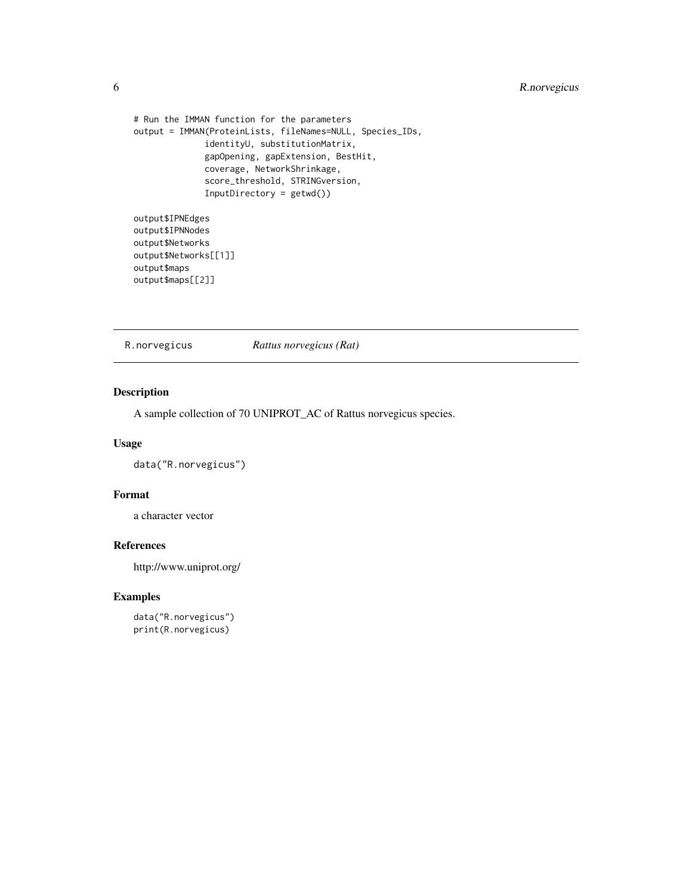```
# Run the IMMAN function for the parameters
output = IMMAN(ProteinLists, fileNames=NULL, Species_IDs,
              identityU, substitutionMatrix,
              gapOpening, gapExtension, BestHit,
              coverage, NetworkShrinkage,
              score_threshold, STRINGversion,
              InputDirectory = getwd())
output$IPNEdges
output$IPNNodes
```
output\$Networks output\$Networks[[1]] output\$maps output\$maps[[2]]

R.norvegicus *Rattus norvegicus (Rat)*

#### Description

A sample collection of 70 UNIPROT\_AC of Rattus norvegicus species.

#### Usage

data("R.norvegicus")

#### Format

a character vector

#### References

http://www.uniprot.org/

#### Examples

```
data("R.norvegicus")
print(R.norvegicus)
```
<span id="page-5-0"></span>